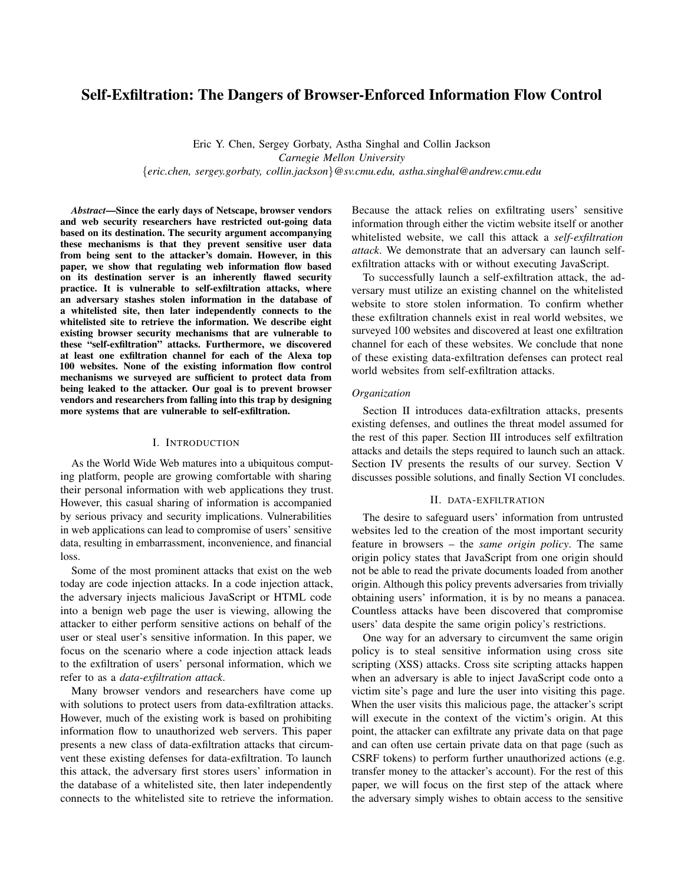# Self-Exfiltration: The Dangers of Browser-Enforced Information Flow Control

Eric Y. Chen, Sergey Gorbaty, Astha Singhal and Collin Jackson *Carnegie Mellon University* {*eric.chen, sergey.gorbaty, collin.jackson*}*@sv.cmu.edu, astha.singhal@andrew.cmu.edu*

*Abstract*—Since the early days of Netscape, browser vendors and web security researchers have restricted out-going data based on its destination. The security argument accompanying these mechanisms is that they prevent sensitive user data from being sent to the attacker's domain. However, in this paper, we show that regulating web information flow based on its destination server is an inherently flawed security practice. It is vulnerable to self-exfiltration attacks, where an adversary stashes stolen information in the database of a whitelisted site, then later independently connects to the whitelisted site to retrieve the information. We describe eight existing browser security mechanisms that are vulnerable to these "self-exfiltration" attacks. Furthermore, we discovered at least one exfiltration channel for each of the Alexa top 100 websites. None of the existing information flow control mechanisms we surveyed are sufficient to protect data from being leaked to the attacker. Our goal is to prevent browser vendors and researchers from falling into this trap by designing more systems that are vulnerable to self-exfiltration.

## I. INTRODUCTION

As the World Wide Web matures into a ubiquitous computing platform, people are growing comfortable with sharing their personal information with web applications they trust. However, this casual sharing of information is accompanied by serious privacy and security implications. Vulnerabilities in web applications can lead to compromise of users' sensitive data, resulting in embarrassment, inconvenience, and financial loss.

Some of the most prominent attacks that exist on the web today are code injection attacks. In a code injection attack, the adversary injects malicious JavaScript or HTML code into a benign web page the user is viewing, allowing the attacker to either perform sensitive actions on behalf of the user or steal user's sensitive information. In this paper, we focus on the scenario where a code injection attack leads to the exfiltration of users' personal information, which we refer to as a *data-exfiltration attack*.

Many browser vendors and researchers have come up with solutions to protect users from data-exfiltration attacks. However, much of the existing work is based on prohibiting information flow to unauthorized web servers. This paper presents a new class of data-exfiltration attacks that circumvent these existing defenses for data-exfiltration. To launch this attack, the adversary first stores users' information in the database of a whitelisted site, then later independently connects to the whitelisted site to retrieve the information. Because the attack relies on exfiltrating users' sensitive information through either the victim website itself or another whitelisted website, we call this attack a *self-exfiltration attack*. We demonstrate that an adversary can launch selfexfiltration attacks with or without executing JavaScript.

To successfully launch a self-exfiltration attack, the adversary must utilize an existing channel on the whitelisted website to store stolen information. To confirm whether these exfiltration channels exist in real world websites, we surveyed 100 websites and discovered at least one exfiltration channel for each of these websites. We conclude that none of these existing data-exfiltration defenses can protect real world websites from self-exfiltration attacks.

## *Organization*

Section II introduces data-exfiltration attacks, presents existing defenses, and outlines the threat model assumed for the rest of this paper. Section III introduces self exfiltration attacks and details the steps required to launch such an attack. Section IV presents the results of our survey. Section V discusses possible solutions, and finally Section VI concludes.

#### II. DATA-EXFILTRATION

The desire to safeguard users' information from untrusted websites led to the creation of the most important security feature in browsers – the *same origin policy*. The same origin policy states that JavaScript from one origin should not be able to read the private documents loaded from another origin. Although this policy prevents adversaries from trivially obtaining users' information, it is by no means a panacea. Countless attacks have been discovered that compromise users' data despite the same origin policy's restrictions.

One way for an adversary to circumvent the same origin policy is to steal sensitive information using cross site scripting (XSS) attacks. Cross site scripting attacks happen when an adversary is able to inject JavaScript code onto a victim site's page and lure the user into visiting this page. When the user visits this malicious page, the attacker's script will execute in the context of the victim's origin. At this point, the attacker can exfiltrate any private data on that page and can often use certain private data on that page (such as CSRF tokens) to perform further unauthorized actions (e.g. transfer money to the attacker's account). For the rest of this paper, we will focus on the first step of the attack where the adversary simply wishes to obtain access to the sensitive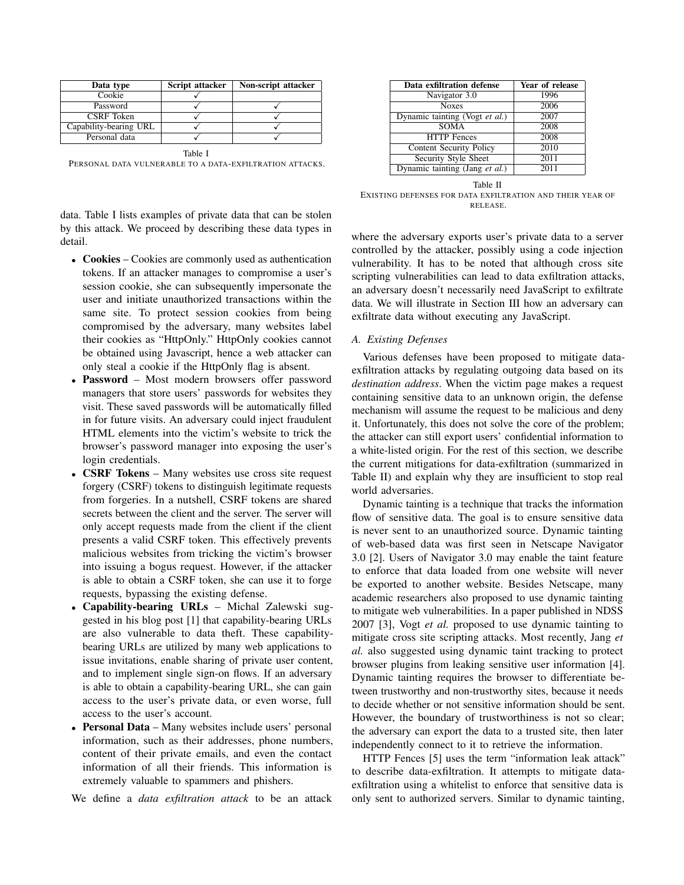| Data type              | Script attacker | Non-script attacker |
|------------------------|-----------------|---------------------|
| Cookie                 |                 |                     |
| Password               |                 |                     |
| CSRF Token             |                 |                     |
| Capability-bearing URL |                 |                     |
| Personal data          |                 |                     |

Table I PERSONAL DATA VULNERABLE TO A DATA-EXFILTRATION ATTACKS.

data. Table I lists examples of private data that can be stolen by this attack. We proceed by describing these data types in detail.

- Cookies Cookies are commonly used as authentication tokens. If an attacker manages to compromise a user's session cookie, she can subsequently impersonate the user and initiate unauthorized transactions within the same site. To protect session cookies from being compromised by the adversary, many websites label their cookies as "HttpOnly." HttpOnly cookies cannot be obtained using Javascript, hence a web attacker can only steal a cookie if the HttpOnly flag is absent.
- Password Most modern browsers offer password managers that store users' passwords for websites they visit. These saved passwords will be automatically filled in for future visits. An adversary could inject fraudulent HTML elements into the victim's website to trick the browser's password manager into exposing the user's login credentials.
- CSRF Tokens Many websites use cross site request forgery (CSRF) tokens to distinguish legitimate requests from forgeries. In a nutshell, CSRF tokens are shared secrets between the client and the server. The server will only accept requests made from the client if the client presents a valid CSRF token. This effectively prevents malicious websites from tricking the victim's browser into issuing a bogus request. However, if the attacker is able to obtain a CSRF token, she can use it to forge requests, bypassing the existing defense.
- Capability-bearing URLs Michal Zalewski suggested in his blog post [1] that capability-bearing URLs are also vulnerable to data theft. These capabilitybearing URLs are utilized by many web applications to issue invitations, enable sharing of private user content, and to implement single sign-on flows. If an adversary is able to obtain a capability-bearing URL, she can gain access to the user's private data, or even worse, full access to the user's account.
- Personal Data Many websites include users' personal information, such as their addresses, phone numbers, content of their private emails, and even the contact information of all their friends. This information is extremely valuable to spammers and phishers.

We define a *data exfiltration attack* to be an attack

| Data exfiltration defense      | Year of release |
|--------------------------------|-----------------|
| Navigator 3.0                  | 1996            |
| <b>Noxes</b>                   | 2006            |
| Dynamic tainting (Vogt et al.) | 2007            |
| <b>SOMA</b>                    | 2008            |
| <b>HTTP</b> Fences             | 2008            |
| <b>Content Security Policy</b> | 2010            |
| Security Style Sheet           | 2011            |
| Dynamic tainting (Jang et al.) | 2011            |

Table II EXISTING DEFENSES FOR DATA EXFILTRATION AND THEIR YEAR OF RELEASE.

where the adversary exports user's private data to a server controlled by the attacker, possibly using a code injection vulnerability. It has to be noted that although cross site scripting vulnerabilities can lead to data exfiltration attacks, an adversary doesn't necessarily need JavaScript to exfiltrate data. We will illustrate in Section III how an adversary can exfiltrate data without executing any JavaScript.

## *A. Existing Defenses*

Various defenses have been proposed to mitigate dataexfiltration attacks by regulating outgoing data based on its *destination address*. When the victim page makes a request containing sensitive data to an unknown origin, the defense mechanism will assume the request to be malicious and deny it. Unfortunately, this does not solve the core of the problem; the attacker can still export users' confidential information to a white-listed origin. For the rest of this section, we describe the current mitigations for data-exfiltration (summarized in Table II) and explain why they are insufficient to stop real world adversaries.

Dynamic tainting is a technique that tracks the information flow of sensitive data. The goal is to ensure sensitive data is never sent to an unauthorized source. Dynamic tainting of web-based data was first seen in Netscape Navigator 3.0 [2]. Users of Navigator 3.0 may enable the taint feature to enforce that data loaded from one website will never be exported to another website. Besides Netscape, many academic researchers also proposed to use dynamic tainting to mitigate web vulnerabilities. In a paper published in NDSS 2007 [3], Vogt *et al.* proposed to use dynamic tainting to mitigate cross site scripting attacks. Most recently, Jang *et al.* also suggested using dynamic taint tracking to protect browser plugins from leaking sensitive user information [4]. Dynamic tainting requires the browser to differentiate between trustworthy and non-trustworthy sites, because it needs to decide whether or not sensitive information should be sent. However, the boundary of trustworthiness is not so clear; the adversary can export the data to a trusted site, then later independently connect to it to retrieve the information.

HTTP Fences [5] uses the term "information leak attack" to describe data-exfiltration. It attempts to mitigate dataexfiltration using a whitelist to enforce that sensitive data is only sent to authorized servers. Similar to dynamic tainting,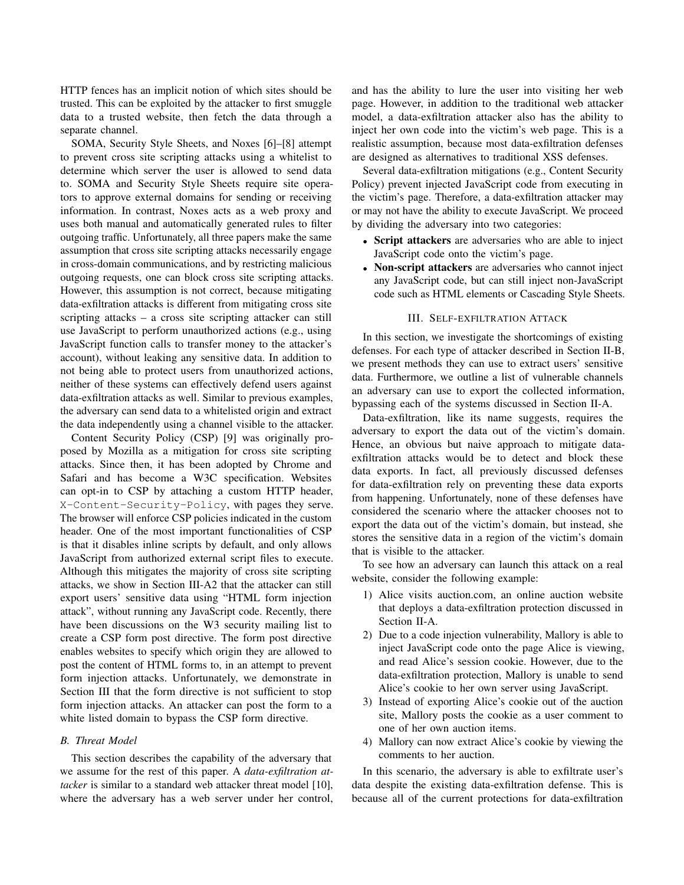HTTP fences has an implicit notion of which sites should be trusted. This can be exploited by the attacker to first smuggle data to a trusted website, then fetch the data through a separate channel.

SOMA, Security Style Sheets, and Noxes [6]–[8] attempt to prevent cross site scripting attacks using a whitelist to determine which server the user is allowed to send data to. SOMA and Security Style Sheets require site operators to approve external domains for sending or receiving information. In contrast, Noxes acts as a web proxy and uses both manual and automatically generated rules to filter outgoing traffic. Unfortunately, all three papers make the same assumption that cross site scripting attacks necessarily engage in cross-domain communications, and by restricting malicious outgoing requests, one can block cross site scripting attacks. However, this assumption is not correct, because mitigating data-exfiltration attacks is different from mitigating cross site scripting attacks – a cross site scripting attacker can still use JavaScript to perform unauthorized actions (e.g., using JavaScript function calls to transfer money to the attacker's account), without leaking any sensitive data. In addition to not being able to protect users from unauthorized actions, neither of these systems can effectively defend users against data-exfiltration attacks as well. Similar to previous examples, the adversary can send data to a whitelisted origin and extract the data independently using a channel visible to the attacker.

Content Security Policy (CSP) [9] was originally proposed by Mozilla as a mitigation for cross site scripting attacks. Since then, it has been adopted by Chrome and Safari and has become a W3C specification. Websites can opt-in to CSP by attaching a custom HTTP header, X-Content-Security-Policy, with pages they serve. The browser will enforce CSP policies indicated in the custom header. One of the most important functionalities of CSP is that it disables inline scripts by default, and only allows JavaScript from authorized external script files to execute. Although this mitigates the majority of cross site scripting attacks, we show in Section III-A2 that the attacker can still export users' sensitive data using "HTML form injection attack", without running any JavaScript code. Recently, there have been discussions on the W3 security mailing list to create a CSP form post directive. The form post directive enables websites to specify which origin they are allowed to post the content of HTML forms to, in an attempt to prevent form injection attacks. Unfortunately, we demonstrate in Section III that the form directive is not sufficient to stop form injection attacks. An attacker can post the form to a white listed domain to bypass the CSP form directive.

# *B. Threat Model*

This section describes the capability of the adversary that we assume for the rest of this paper. A *data-exfiltration attacker* is similar to a standard web attacker threat model [10], where the adversary has a web server under her control,

and has the ability to lure the user into visiting her web page. However, in addition to the traditional web attacker model, a data-exfiltration attacker also has the ability to inject her own code into the victim's web page. This is a realistic assumption, because most data-exfiltration defenses are designed as alternatives to traditional XSS defenses.

Several data-exfiltration mitigations (e.g., Content Security Policy) prevent injected JavaScript code from executing in the victim's page. Therefore, a data-exfiltration attacker may or may not have the ability to execute JavaScript. We proceed by dividing the adversary into two categories:

- Script attackers are adversaries who are able to inject JavaScript code onto the victim's page.
- Non-script attackers are adversaries who cannot inject any JavaScript code, but can still inject non-JavaScript code such as HTML elements or Cascading Style Sheets.

#### III. SELF-EXFILTRATION ATTACK

In this section, we investigate the shortcomings of existing defenses. For each type of attacker described in Section II-B, we present methods they can use to extract users' sensitive data. Furthermore, we outline a list of vulnerable channels an adversary can use to export the collected information, bypassing each of the systems discussed in Section II-A.

Data-exfiltration, like its name suggests, requires the adversary to export the data out of the victim's domain. Hence, an obvious but naive approach to mitigate dataexfiltration attacks would be to detect and block these data exports. In fact, all previously discussed defenses for data-exfiltration rely on preventing these data exports from happening. Unfortunately, none of these defenses have considered the scenario where the attacker chooses not to export the data out of the victim's domain, but instead, she stores the sensitive data in a region of the victim's domain that is visible to the attacker.

To see how an adversary can launch this attack on a real website, consider the following example:

- 1) Alice visits auction.com, an online auction website that deploys a data-exfiltration protection discussed in Section II-A.
- 2) Due to a code injection vulnerability, Mallory is able to inject JavaScript code onto the page Alice is viewing, and read Alice's session cookie. However, due to the data-exfiltration protection, Mallory is unable to send Alice's cookie to her own server using JavaScript.
- 3) Instead of exporting Alice's cookie out of the auction site, Mallory posts the cookie as a user comment to one of her own auction items.
- 4) Mallory can now extract Alice's cookie by viewing the comments to her auction.

In this scenario, the adversary is able to exfiltrate user's data despite the existing data-exfiltration defense. This is because all of the current protections for data-exfiltration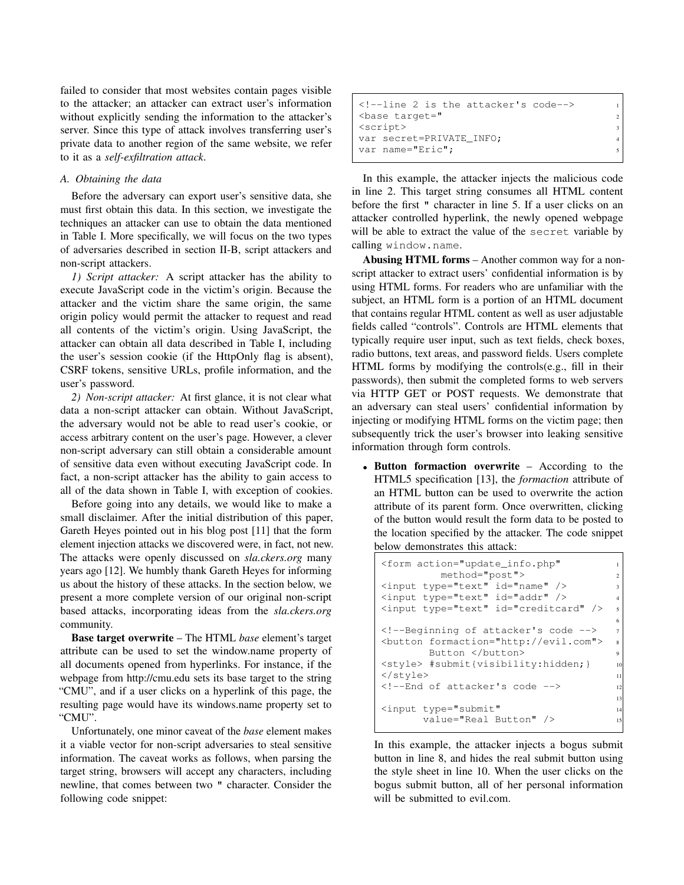failed to consider that most websites contain pages visible to the attacker; an attacker can extract user's information without explicitly sending the information to the attacker's server. Since this type of attack involves transferring user's private data to another region of the same website, we refer to it as a *self-exfiltration attack*.

## *A. Obtaining the data*

Before the adversary can export user's sensitive data, she must first obtain this data. In this section, we investigate the techniques an attacker can use to obtain the data mentioned in Table I. More specifically, we will focus on the two types of adversaries described in section II-B, script attackers and non-script attackers.

*1) Script attacker:* A script attacker has the ability to execute JavaScript code in the victim's origin. Because the attacker and the victim share the same origin, the same origin policy would permit the attacker to request and read all contents of the victim's origin. Using JavaScript, the attacker can obtain all data described in Table I, including the user's session cookie (if the HttpOnly flag is absent), CSRF tokens, sensitive URLs, profile information, and the user's password.

*2) Non-script attacker:* At first glance, it is not clear what data a non-script attacker can obtain. Without JavaScript, the adversary would not be able to read user's cookie, or access arbitrary content on the user's page. However, a clever non-script adversary can still obtain a considerable amount of sensitive data even without executing JavaScript code. In fact, a non-script attacker has the ability to gain access to all of the data shown in Table I, with exception of cookies.

Before going into any details, we would like to make a small disclaimer. After the initial distribution of this paper, Gareth Heyes pointed out in his blog post [11] that the form element injection attacks we discovered were, in fact, not new. The attacks were openly discussed on *sla.ckers.org* many years ago [12]. We humbly thank Gareth Heyes for informing us about the history of these attacks. In the section below, we present a more complete version of our original non-script based attacks, incorporating ideas from the *sla.ckers.org* community.

Base target overwrite – The HTML *base* element's target attribute can be used to set the window.name property of all documents opened from hyperlinks. For instance, if the webpage from http://cmu.edu sets its base target to the string "CMU", and if a user clicks on a hyperlink of this page, the resulting page would have its windows.name property set to "CMU".

Unfortunately, one minor caveat of the *base* element makes it a viable vector for non-script adversaries to steal sensitive information. The caveat works as follows, when parsing the target string, browsers will accept any characters, including newline, that comes between two " character. Consider the following code snippet:

| $\langle -1 \rangle$ --line 2 is the attacker's code-->                                                                                                                                                                                                                                                         |  |
|-----------------------------------------------------------------------------------------------------------------------------------------------------------------------------------------------------------------------------------------------------------------------------------------------------------------|--|
| <base eric";<="" target="&lt;/td&gt;&lt;td&gt;&lt;math&gt;2^{\circ}&lt;/math&gt;&lt;/td&gt;&lt;/tr&gt;&lt;tr&gt;&lt;td&gt;&lt;script&gt;&lt;/td&gt;&lt;td&gt;&lt;/td&gt;&lt;/tr&gt;&lt;tr&gt;&lt;td colspan=2&gt;var secret=PRIVATE INFO;&lt;/td&gt;&lt;/tr&gt;&lt;tr&gt;&lt;td&gt;var name=" td=""/> <td></td> |  |

In this example, the attacker injects the malicious code in line 2. This target string consumes all HTML content before the first " character in line 5. If a user clicks on an attacker controlled hyperlink, the newly opened webpage will be able to extract the value of the secret variable by calling window.name.

Abusing HTML forms – Another common way for a nonscript attacker to extract users' confidential information is by using HTML forms. For readers who are unfamiliar with the subject, an HTML form is a portion of an HTML document that contains regular HTML content as well as user adjustable fields called "controls". Controls are HTML elements that typically require user input, such as text fields, check boxes, radio buttons, text areas, and password fields. Users complete HTML forms by modifying the controls(e.g., fill in their passwords), then submit the completed forms to web servers via HTTP GET or POST requests. We demonstrate that an adversary can steal users' confidential information by injecting or modifying HTML forms on the victim page; then subsequently trick the user's browser into leaking sensitive information through form controls.

• Button formaction overwrite – According to the HTML5 specification [13], the *formaction* attribute of an HTML button can be used to overwrite the action attribute of its parent form. Once overwritten, clicking of the button would result the form data to be posted to the location specified by the attacker. The code snippet below demonstrates this attack:

```
<form action="update_info.php" 1
          method="post"> 2
\langleinput type="text" id="name" />
<input type="text" id="addr" /> 4
<input type="text" id="creditcard" /> 5
                                         6
<!--Beginning of attacker's code --> 7
<button formaction="http://evil.com"> 8
        Button </button>
<style> #submit{visibility:hidden;} 10
\langle/style>
<!--End of attacker's code -->
                                         \overline{1}<input type="submit" 14
       value="Real Button" />
```
In this example, the attacker injects a bogus submit button in line 8, and hides the real submit button using the style sheet in line 10. When the user clicks on the bogus submit button, all of her personal information will be submitted to evil.com.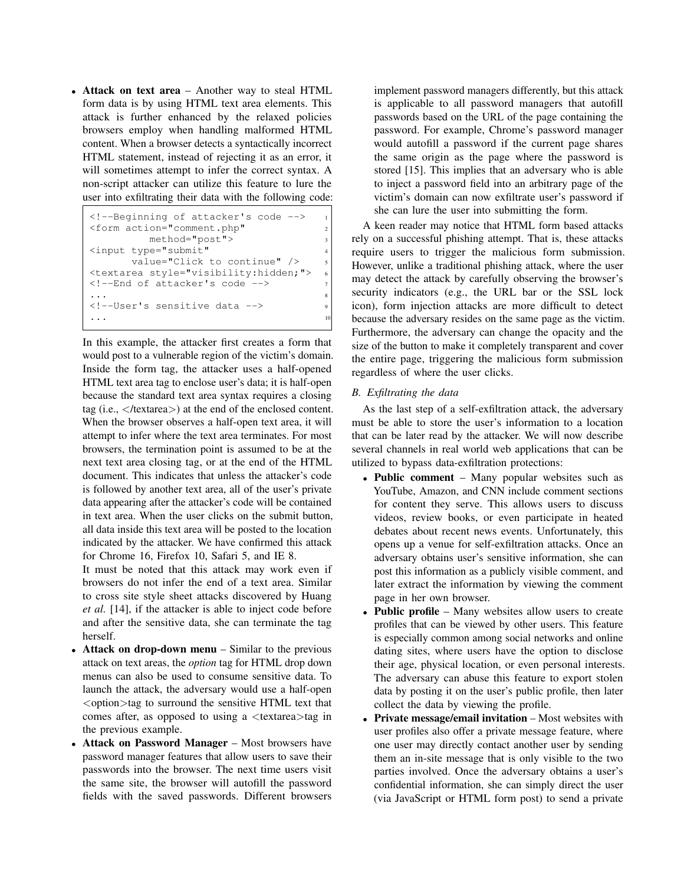• Attack on text area – Another way to steal HTML form data is by using HTML text area elements. This attack is further enhanced by the relaxed policies browsers employ when handling malformed HTML content. When a browser detects a syntactically incorrect HTML statement, instead of rejecting it as an error, it will sometimes attempt to infer the correct syntax. A non-script attacker can utilize this feature to lure the user into exfiltrating their data with the following code:

```
<!--Beginning of attacker's code --> 1
<form action="comment.php" 2
       method="post"> 3
<input type="submit" 4
     value="Click to continue" />
<textarea style="visibility:hidden;"> 6
<!--End of attacker's code --> 7
... 8
<!--User's sensitive data --> 9
... 10
```
In this example, the attacker first creates a form that would post to a vulnerable region of the victim's domain. Inside the form tag, the attacker uses a half-opened HTML text area tag to enclose user's data; it is half-open because the standard text area syntax requires a closing tag (i.e.,  $\langle$ /textarea $\rangle$ ) at the end of the enclosed content. When the browser observes a half-open text area, it will attempt to infer where the text area terminates. For most browsers, the termination point is assumed to be at the next text area closing tag, or at the end of the HTML document. This indicates that unless the attacker's code is followed by another text area, all of the user's private data appearing after the attacker's code will be contained in text area. When the user clicks on the submit button, all data inside this text area will be posted to the location indicated by the attacker. We have confirmed this attack for Chrome 16, Firefox 10, Safari 5, and IE 8.

It must be noted that this attack may work even if browsers do not infer the end of a text area. Similar to cross site style sheet attacks discovered by Huang *et al.* [14], if the attacker is able to inject code before and after the sensitive data, she can terminate the tag herself.

- **Attack on drop-down menu** Similar to the previous attack on text areas, the *option* tag for HTML drop down menus can also be used to consume sensitive data. To launch the attack, the adversary would use a half-open  $\leq$  option $>$ tag to surround the sensitive HTML text that comes after, as opposed to using a <textarea>tag in the previous example.
- Attack on Password Manager Most browsers have password manager features that allow users to save their passwords into the browser. The next time users visit the same site, the browser will autofill the password fields with the saved passwords. Different browsers

implement password managers differently, but this attack is applicable to all password managers that autofill passwords based on the URL of the page containing the password. For example, Chrome's password manager would autofill a password if the current page shares the same origin as the page where the password is stored [15]. This implies that an adversary who is able to inject a password field into an arbitrary page of the victim's domain can now exfiltrate user's password if she can lure the user into submitting the form.

A keen reader may notice that HTML form based attacks rely on a successful phishing attempt. That is, these attacks require users to trigger the malicious form submission. However, unlike a traditional phishing attack, where the user may detect the attack by carefully observing the browser's security indicators (e.g., the URL bar or the SSL lock icon), form injection attacks are more difficult to detect because the adversary resides on the same page as the victim. Furthermore, the adversary can change the opacity and the size of the button to make it completely transparent and cover the entire page, triggering the malicious form submission regardless of where the user clicks.

# *B. Exfiltrating the data*

As the last step of a self-exfiltration attack, the adversary must be able to store the user's information to a location that can be later read by the attacker. We will now describe several channels in real world web applications that can be utilized to bypass data-exfiltration protections:

- Public comment Many popular websites such as YouTube, Amazon, and CNN include comment sections for content they serve. This allows users to discuss videos, review books, or even participate in heated debates about recent news events. Unfortunately, this opens up a venue for self-exfiltration attacks. Once an adversary obtains user's sensitive information, she can post this information as a publicly visible comment, and later extract the information by viewing the comment page in her own browser.
- Public profile Many websites allow users to create profiles that can be viewed by other users. This feature is especially common among social networks and online dating sites, where users have the option to disclose their age, physical location, or even personal interests. The adversary can abuse this feature to export stolen data by posting it on the user's public profile, then later collect the data by viewing the profile.
- Private message/email invitation Most websites with user profiles also offer a private message feature, where one user may directly contact another user by sending them an in-site message that is only visible to the two parties involved. Once the adversary obtains a user's confidential information, she can simply direct the user (via JavaScript or HTML form post) to send a private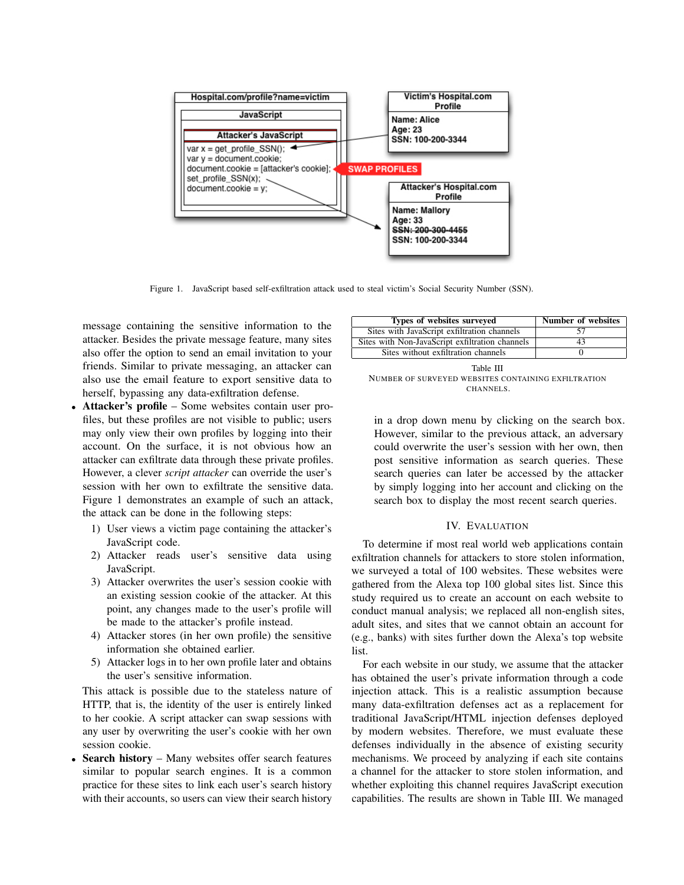

Figure 1. JavaScript based self-exfiltration attack used to steal victim's Social Security Number (SSN).

message containing the sensitive information to the attacker. Besides the private message feature, many sites also offer the option to send an email invitation to your friends. Similar to private messaging, an attacker can also use the email feature to export sensitive data to herself, bypassing any data-exfiltration defense.

- Attacker's profile Some websites contain user profiles, but these profiles are not visible to public; users may only view their own profiles by logging into their account. On the surface, it is not obvious how an attacker can exfiltrate data through these private profiles. However, a clever *script attacker* can override the user's session with her own to exfiltrate the sensitive data. Figure 1 demonstrates an example of such an attack, the attack can be done in the following steps:
	- 1) User views a victim page containing the attacker's JavaScript code.
	- 2) Attacker reads user's sensitive data using JavaScript.
	- 3) Attacker overwrites the user's session cookie with an existing session cookie of the attacker. At this point, any changes made to the user's profile will be made to the attacker's profile instead.
	- 4) Attacker stores (in her own profile) the sensitive information she obtained earlier.
	- 5) Attacker logs in to her own profile later and obtains the user's sensitive information.

This attack is possible due to the stateless nature of HTTP, that is, the identity of the user is entirely linked to her cookie. A script attacker can swap sessions with any user by overwriting the user's cookie with her own session cookie.

**Search history** – Many websites offer search features similar to popular search engines. It is a common practice for these sites to link each user's search history with their accounts, so users can view their search history

| Types of websites surveyed                      | Number of websites |
|-------------------------------------------------|--------------------|
| Sites with JavaScript exfiltration channels     |                    |
| Sites with Non-JavaScript exfiltration channels | 43                 |
| Sites without exfiltration channels             |                    |

Table III NUMBER OF SURVEYED WEBSITES CONTAINING EXFILTRATION CHANNELS.

in a drop down menu by clicking on the search box. However, similar to the previous attack, an adversary could overwrite the user's session with her own, then post sensitive information as search queries. These search queries can later be accessed by the attacker by simply logging into her account and clicking on the search box to display the most recent search queries.

#### IV. EVALUATION

To determine if most real world web applications contain exfiltration channels for attackers to store stolen information, we surveyed a total of 100 websites. These websites were gathered from the Alexa top 100 global sites list. Since this study required us to create an account on each website to conduct manual analysis; we replaced all non-english sites, adult sites, and sites that we cannot obtain an account for (e.g., banks) with sites further down the Alexa's top website list.

For each website in our study, we assume that the attacker has obtained the user's private information through a code injection attack. This is a realistic assumption because many data-exfiltration defenses act as a replacement for traditional JavaScript/HTML injection defenses deployed by modern websites. Therefore, we must evaluate these defenses individually in the absence of existing security mechanisms. We proceed by analyzing if each site contains a channel for the attacker to store stolen information, and whether exploiting this channel requires JavaScript execution capabilities. The results are shown in Table III. We managed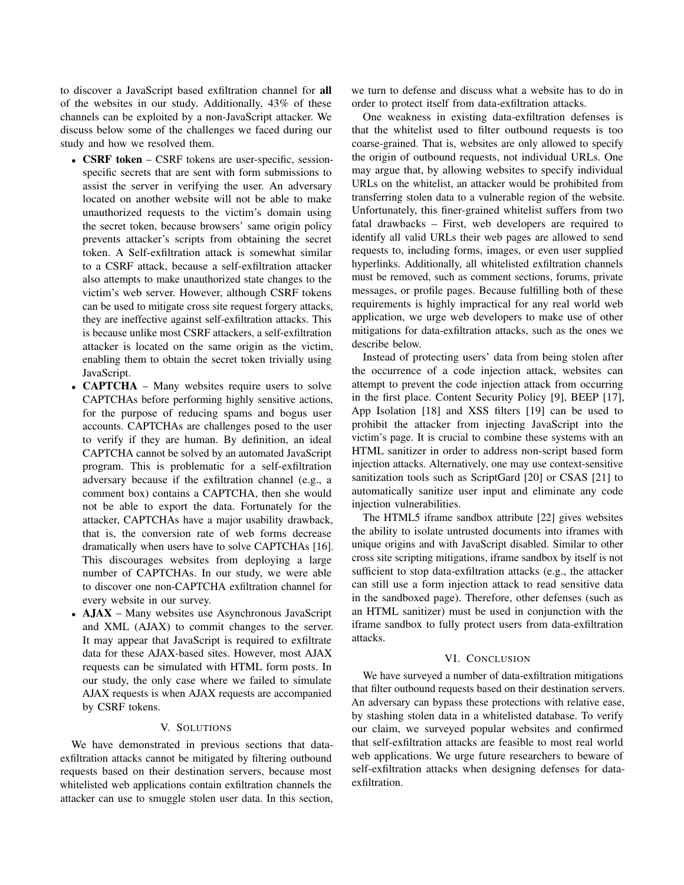to discover a JavaScript based exfiltration channel for all of the websites in our study. Additionally, 43% of these channels can be exploited by a non-JavaScript attacker. We discuss below some of the challenges we faced during our study and how we resolved them.

- **CSRF token** CSRF tokens are user-specific, sessionspecific secrets that are sent with form submissions to assist the server in verifying the user. An adversary located on another website will not be able to make unauthorized requests to the victim's domain using the secret token, because browsers' same origin policy prevents attacker's scripts from obtaining the secret token. A Self-exfiltration attack is somewhat similar to a CSRF attack, because a self-exfiltration attacker also attempts to make unauthorized state changes to the victim's web server. However, although CSRF tokens can be used to mitigate cross site request forgery attacks, they are ineffective against self-exfiltration attacks. This is because unlike most CSRF attackers, a self-exfiltration attacker is located on the same origin as the victim, enabling them to obtain the secret token trivially using JavaScript.
- **CAPTCHA** Many websites require users to solve CAPTCHAs before performing highly sensitive actions, for the purpose of reducing spams and bogus user accounts. CAPTCHAs are challenges posed to the user to verify if they are human. By definition, an ideal CAPTCHA cannot be solved by an automated JavaScript program. This is problematic for a self-exfiltration adversary because if the exfiltration channel (e.g., a comment box) contains a CAPTCHA, then she would not be able to export the data. Fortunately for the attacker, CAPTCHAs have a major usability drawback, that is, the conversion rate of web forms decrease dramatically when users have to solve CAPTCHAs [16]. This discourages websites from deploying a large number of CAPTCHAs. In our study, we were able to discover one non-CAPTCHA exfiltration channel for every website in our survey.
- AJAX Many websites use Asynchronous JavaScript and XML (AJAX) to commit changes to the server. It may appear that JavaScript is required to exfiltrate data for these AJAX-based sites. However, most AJAX requests can be simulated with HTML form posts. In our study, the only case where we failed to simulate AJAX requests is when AJAX requests are accompanied by CSRF tokens.

#### V. SOLUTIONS

We have demonstrated in previous sections that dataexfiltration attacks cannot be mitigated by filtering outbound requests based on their destination servers, because most whitelisted web applications contain exfiltration channels the attacker can use to smuggle stolen user data. In this section, we turn to defense and discuss what a website has to do in order to protect itself from data-exfiltration attacks.

One weakness in existing data-exfiltration defenses is that the whitelist used to filter outbound requests is too coarse-grained. That is, websites are only allowed to specify the origin of outbound requests, not individual URLs. One may argue that, by allowing websites to specify individual URLs on the whitelist, an attacker would be prohibited from transferring stolen data to a vulnerable region of the website. Unfortunately, this finer-grained whitelist suffers from two fatal drawbacks – First, web developers are required to identify all valid URLs their web pages are allowed to send requests to, including forms, images, or even user supplied hyperlinks. Additionally, all whitelisted exfiltration channels must be removed, such as comment sections, forums, private messages, or profile pages. Because fulfilling both of these requirements is highly impractical for any real world web application, we urge web developers to make use of other mitigations for data-exfiltration attacks, such as the ones we describe below.

Instead of protecting users' data from being stolen after the occurrence of a code injection attack, websites can attempt to prevent the code injection attack from occurring in the first place. Content Security Policy [9], BEEP [17], App Isolation [18] and XSS filters [19] can be used to prohibit the attacker from injecting JavaScript into the victim's page. It is crucial to combine these systems with an HTML sanitizer in order to address non-script based form injection attacks. Alternatively, one may use context-sensitive sanitization tools such as ScriptGard [20] or CSAS [21] to automatically sanitize user input and eliminate any code injection vulnerabilities.

The HTML5 iframe sandbox attribute [22] gives websites the ability to isolate untrusted documents into iframes with unique origins and with JavaScript disabled. Similar to other cross site scripting mitigations, iframe sandbox by itself is not sufficient to stop data-exfiltration attacks (e.g., the attacker can still use a form injection attack to read sensitive data in the sandboxed page). Therefore, other defenses (such as an HTML sanitizer) must be used in conjunction with the iframe sandbox to fully protect users from data-exfiltration attacks.

# VI. CONCLUSION

We have surveyed a number of data-exfiltration mitigations that filter outbound requests based on their destination servers. An adversary can bypass these protections with relative ease, by stashing stolen data in a whitelisted database. To verify our claim, we surveyed popular websites and confirmed that self-exfiltration attacks are feasible to most real world web applications. We urge future researchers to beware of self-exfiltration attacks when designing defenses for dataexfiltration.